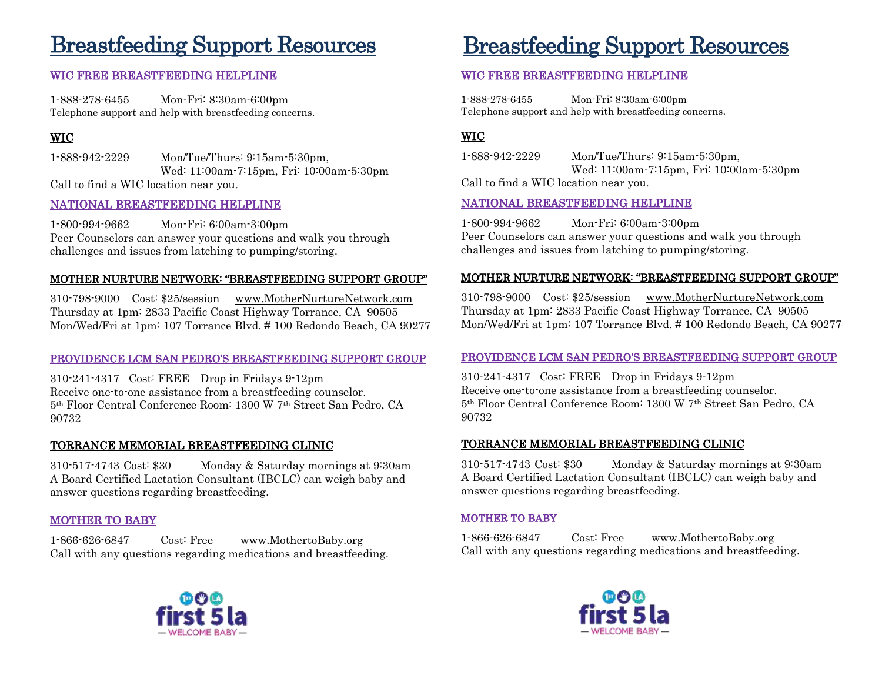# Breastfeeding Support Resources Breastfeeding Support Resources

### WIC FREE BREASTFEEDING HELPLINE

1-888-278-6455 Mon-Fri: 8:30am-6:00pm Telephone support and help with breastfeeding concerns.

# WIC

1-888-942-2229 Mon/Tue/Thurs: 9:15am-5:30pm, Wed: 11:00am-7:15pm, Fri: 10:00am-5:30pm Call to find a WIC location near you.

#### NATIONAL BREASTFEEDING HELPLINE

1-800-994-9662 Mon-Fri: 6:00am-3:00pm Peer Counselors can answer your questions and walk you through challenges and issues from latching to pumping/storing.

#### MOTHER NURTURE NETWORK: "BREASTFEEDING SUPPORT GROUP"

310-798-9000 Cost: \$25/session [www.MotherNurtureNetwork.com](http://www.mothernurturenetwork.com/) Thursday at 1pm: 2833 Pacific Coast Highway Torrance, CA 90505 Mon/Wed/Fri at 1pm: 107 Torrance Blvd. # 100 Redondo Beach, CA 90277

#### PROVIDENCE LCM SAN PEDRO'S BREASTFEEDING SUPPORT GROUP

310-241-4317 Cost: FREE Drop in Fridays 9-12pm Receive one-to-one assistance from a breastfeeding counselor. 5th Floor Central Conference Room: 1300 W 7th Street San Pedro, CA 90732

#### TORRANCE MEMORIAL BREASTFEEDING CLINIC

310-517-4743 Cost: \$30 Monday & Saturday mornings at 9:30am A Board Certified Lactation Consultant (IBCLC) can weigh baby and answer questions regarding breastfeeding.

#### MOTHER TO BABY

1-866-626-6847 Cost: Free www.MothertoBaby.org Call with any questions regarding medications and breastfeeding.



### WIC FREE BREASTFEEDING HELPLINE

1-888-278-6455 Mon-Fri: 8:30am-6:00pm Telephone support and help with breastfeeding concerns.

### WIC

1-888-942-2229 Mon/Tue/Thurs: 9:15am-5:30pm, Wed: 11:00am-7:15pm, Fri: 10:00am-5:30pm

Call to find a WIC location near you.

#### NATIONAL BREASTFEEDING HELPLINE

1-800-994-9662 Mon-Fri: 6:00am-3:00pm Peer Counselors can answer your questions and walk you through challenges and issues from latching to pumping/storing.

#### MOTHER NURTURE NETWORK: "BREASTFEEDING SUPPORT GROUP"

310-798-9000 Cost: \$25/session [www.MotherNurtureNetwork.com](http://www.mothernurturenetwork.com/) Thursday at 1pm: 2833 Pacific Coast Highway Torrance, CA 90505 Mon/Wed/Fri at 1pm: 107 Torrance Blvd. # 100 Redondo Beach, CA 90277

#### PROVIDENCE LCM SAN PEDRO'S BREASTFEEDING SUPPORT GROUP

310-241-4317 Cost: FREE Drop in Fridays 9-12pm Receive one-to-one assistance from a breastfeeding counselor. 5th Floor Central Conference Room: 1300 W 7th Street San Pedro, CA 90732

#### TORRANCE MEMORIAL BREASTFEEDING CLINIC

310-517-4743 Cost: \$30 Monday & Saturday mornings at 9:30am A Board Certified Lactation Consultant (IBCLC) can weigh baby and answer questions regarding breastfeeding.

#### MOTHER TO BABY

1-866-626-6847 Cost: Free www.MothertoBaby.org Call with any questions regarding medications and breastfeeding.